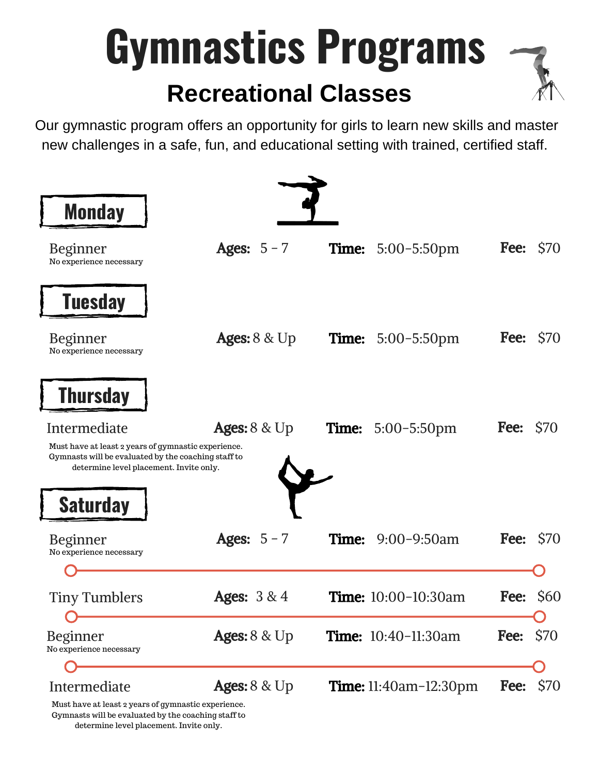## **Gymnastics Programs Recreational Classes**



Our gymnastic program offers an opportunity for girls to learn new skills and master new challenges in a safe, fun, and educational setting with trained, certified staff.



Gymnasts will be evaluated by the coaching staff to determine level placement. Invite only.